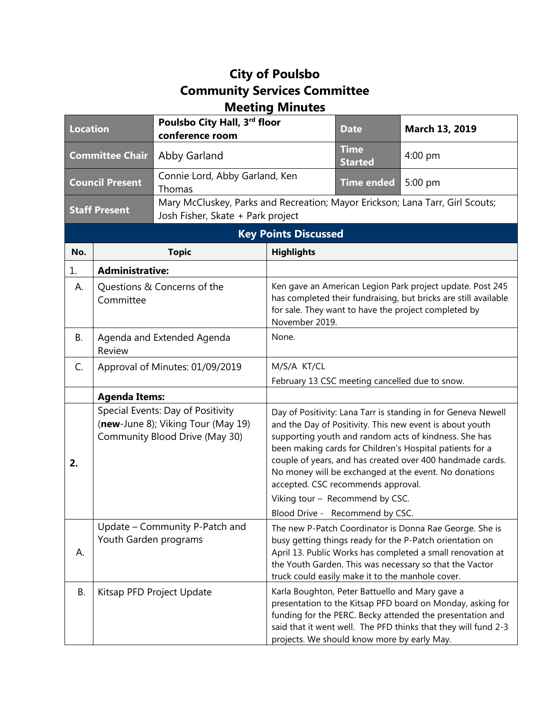## **City of Poulsbo Community Services Committee Meeting Minutes**

| <b>Location</b>             |                                                                                                           | Poulsbo City Hall, 3rd floor<br>conference room                                                                    |                                                                                                                                                                                                                                                                                                  | <b>Date</b>                                    | March 13, 2019                                                                                                                                                                                                                                                                                                                                                       |  |
|-----------------------------|-----------------------------------------------------------------------------------------------------------|--------------------------------------------------------------------------------------------------------------------|--------------------------------------------------------------------------------------------------------------------------------------------------------------------------------------------------------------------------------------------------------------------------------------------------|------------------------------------------------|----------------------------------------------------------------------------------------------------------------------------------------------------------------------------------------------------------------------------------------------------------------------------------------------------------------------------------------------------------------------|--|
| <b>Committee Chair</b>      |                                                                                                           | Abby Garland                                                                                                       |                                                                                                                                                                                                                                                                                                  | <b>Time</b><br><b>Started</b>                  | $4:00$ pm                                                                                                                                                                                                                                                                                                                                                            |  |
| <b>Council Present</b>      |                                                                                                           | Connie Lord, Abby Garland, Ken<br>Thomas                                                                           |                                                                                                                                                                                                                                                                                                  | <b>Time ended</b>                              | 5:00 pm                                                                                                                                                                                                                                                                                                                                                              |  |
| <b>Staff Present</b>        |                                                                                                           | Mary McCluskey, Parks and Recreation; Mayor Erickson; Lana Tarr, Girl Scouts;<br>Josh Fisher, Skate + Park project |                                                                                                                                                                                                                                                                                                  |                                                |                                                                                                                                                                                                                                                                                                                                                                      |  |
| <b>Key Points Discussed</b> |                                                                                                           |                                                                                                                    |                                                                                                                                                                                                                                                                                                  |                                                |                                                                                                                                                                                                                                                                                                                                                                      |  |
| No.                         |                                                                                                           | <b>Topic</b>                                                                                                       | <b>Highlights</b>                                                                                                                                                                                                                                                                                |                                                |                                                                                                                                                                                                                                                                                                                                                                      |  |
| 1.                          | <b>Administrative:</b>                                                                                    |                                                                                                                    |                                                                                                                                                                                                                                                                                                  |                                                |                                                                                                                                                                                                                                                                                                                                                                      |  |
| А.                          | Questions & Concerns of the<br>Committee                                                                  |                                                                                                                    | Ken gave an American Legion Park project update. Post 245<br>has completed their fundraising, but bricks are still available<br>for sale. They want to have the project completed by<br>November 2019.                                                                                           |                                                |                                                                                                                                                                                                                                                                                                                                                                      |  |
| <b>B.</b>                   | Agenda and Extended Agenda<br>Review                                                                      |                                                                                                                    | None.                                                                                                                                                                                                                                                                                            |                                                |                                                                                                                                                                                                                                                                                                                                                                      |  |
| C.                          | Approval of Minutes: 01/09/2019                                                                           |                                                                                                                    | M/S/A KT/CL                                                                                                                                                                                                                                                                                      |                                                |                                                                                                                                                                                                                                                                                                                                                                      |  |
|                             |                                                                                                           |                                                                                                                    |                                                                                                                                                                                                                                                                                                  | February 13 CSC meeting cancelled due to snow. |                                                                                                                                                                                                                                                                                                                                                                      |  |
|                             | <b>Agenda Items:</b>                                                                                      |                                                                                                                    |                                                                                                                                                                                                                                                                                                  |                                                |                                                                                                                                                                                                                                                                                                                                                                      |  |
| 2.                          | Special Events: Day of Positivity<br>(new-June 8); Viking Tour (May 19)<br>Community Blood Drive (May 30) |                                                                                                                    |                                                                                                                                                                                                                                                                                                  | accepted. CSC recommends approval.             | Day of Positivity: Lana Tarr is standing in for Geneva Newell<br>and the Day of Positivity. This new event is about youth<br>supporting youth and random acts of kindness. She has<br>been making cards for Children's Hospital patients for a<br>couple of years, and has created over 400 handmade cards.<br>No money will be exchanged at the event. No donations |  |
|                             |                                                                                                           |                                                                                                                    | Viking tour - Recommend by CSC.<br>Blood Drive - Recommend by CSC.                                                                                                                                                                                                                               |                                                |                                                                                                                                                                                                                                                                                                                                                                      |  |
| А.                          | Update - Community P-Patch and<br>Youth Garden programs                                                   |                                                                                                                    | The new P-Patch Coordinator is Donna Rae George. She is<br>busy getting things ready for the P-Patch orientation on<br>April 13. Public Works has completed a small renovation at<br>the Youth Garden. This was necessary so that the Vactor<br>truck could easily make it to the manhole cover. |                                                |                                                                                                                                                                                                                                                                                                                                                                      |  |
| В.                          | Kitsap PFD Project Update                                                                                 |                                                                                                                    | Karla Boughton, Peter Battuello and Mary gave a<br>presentation to the Kitsap PFD board on Monday, asking for<br>funding for the PERC. Becky attended the presentation and<br>said that it went well. The PFD thinks that they will fund 2-3<br>projects. We should know more by early May.      |                                                |                                                                                                                                                                                                                                                                                                                                                                      |  |